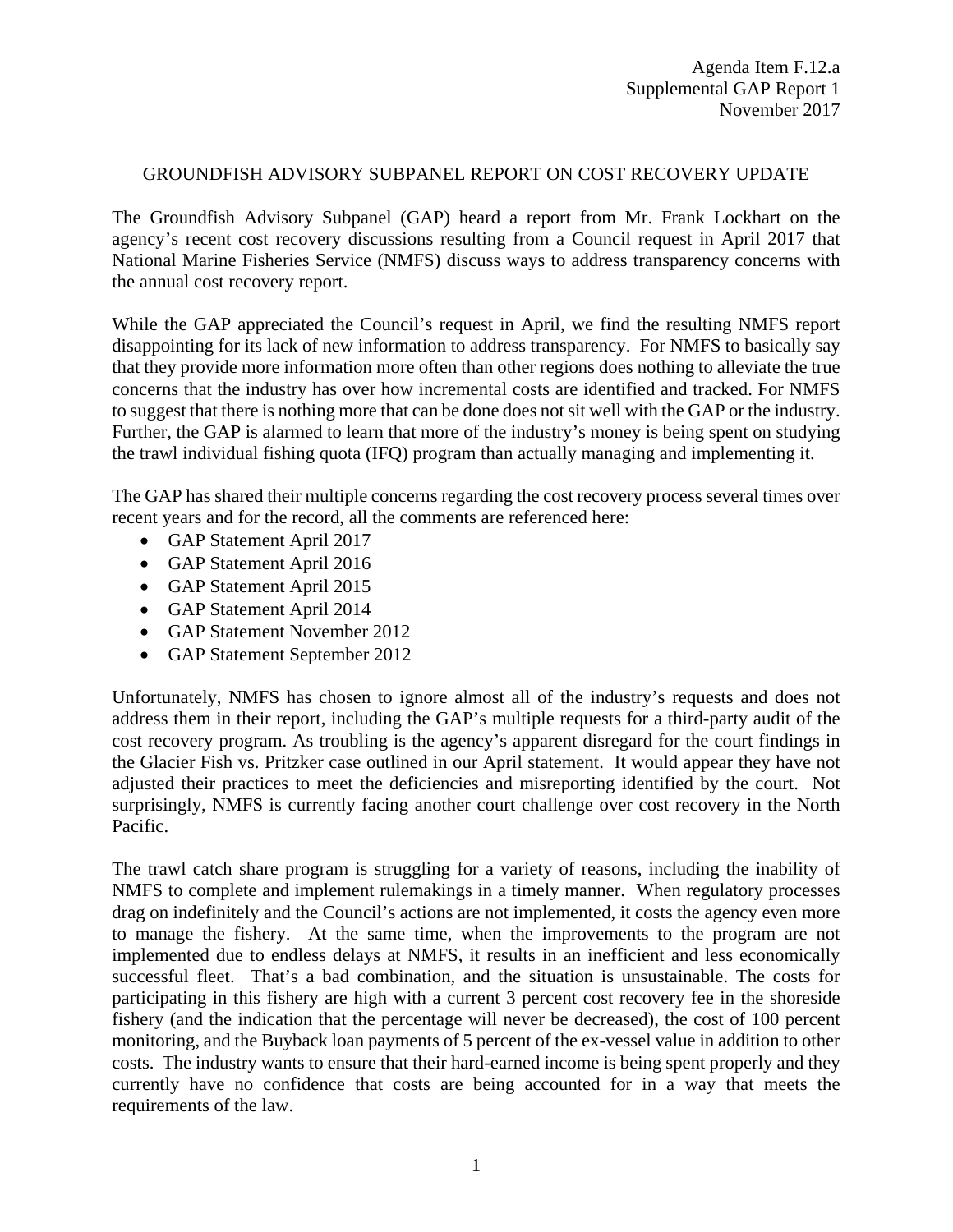## GROUNDFISH ADVISORY SUBPANEL REPORT ON COST RECOVERY UPDATE

The Groundfish Advisory Subpanel (GAP) heard a report from Mr. Frank Lockhart on the agency's recent cost recovery discussions resulting from a Council request in April 2017 that National Marine Fisheries Service (NMFS) discuss ways to address transparency concerns with the annual cost recovery report.

While the GAP appreciated the Council's request in April, we find the resulting NMFS report disappointing for its lack of new information to address transparency. For NMFS to basically say that they provide more information more often than other regions does nothing to alleviate the true concerns that the industry has over how incremental costs are identified and tracked. For NMFS to suggest that there is nothing more that can be done does not sit well with the GAP or the industry. Further, the GAP is alarmed to learn that more of the industry's money is being spent on studying the trawl individual fishing quota (IFQ) program than actually managing and implementing it.

The GAP has shared their multiple concerns regarding the cost recovery process several times over recent years and for the record, all the comments are referenced here:

- GAP Statement April 2017
- GAP Statement April 2016
- GAP Statement April 2015
- GAP Statement April 2014
- GAP Statement November 2012
- GAP Statement September 2012

Unfortunately, NMFS has chosen to ignore almost all of the industry's requests and does not address them in their report, including the GAP's multiple requests for a third-party audit of the cost recovery program. As troubling is the agency's apparent disregard for the court findings in the Glacier Fish vs. Pritzker case outlined in our April statement. It would appear they have not adjusted their practices to meet the deficiencies and misreporting identified by the court. Not surprisingly, NMFS is currently facing another court challenge over cost recovery in the North Pacific.

The trawl catch share program is struggling for a variety of reasons, including the inability of NMFS to complete and implement rulemakings in a timely manner. When regulatory processes drag on indefinitely and the Council's actions are not implemented, it costs the agency even more to manage the fishery. At the same time, when the improvements to the program are not implemented due to endless delays at NMFS, it results in an inefficient and less economically successful fleet. That's a bad combination, and the situation is unsustainable. The costs for participating in this fishery are high with a current 3 percent cost recovery fee in the shoreside fishery (and the indication that the percentage will never be decreased), the cost of 100 percent monitoring, and the Buyback loan payments of 5 percent of the ex-vessel value in addition to other costs. The industry wants to ensure that their hard-earned income is being spent properly and they currently have no confidence that costs are being accounted for in a way that meets the requirements of the law.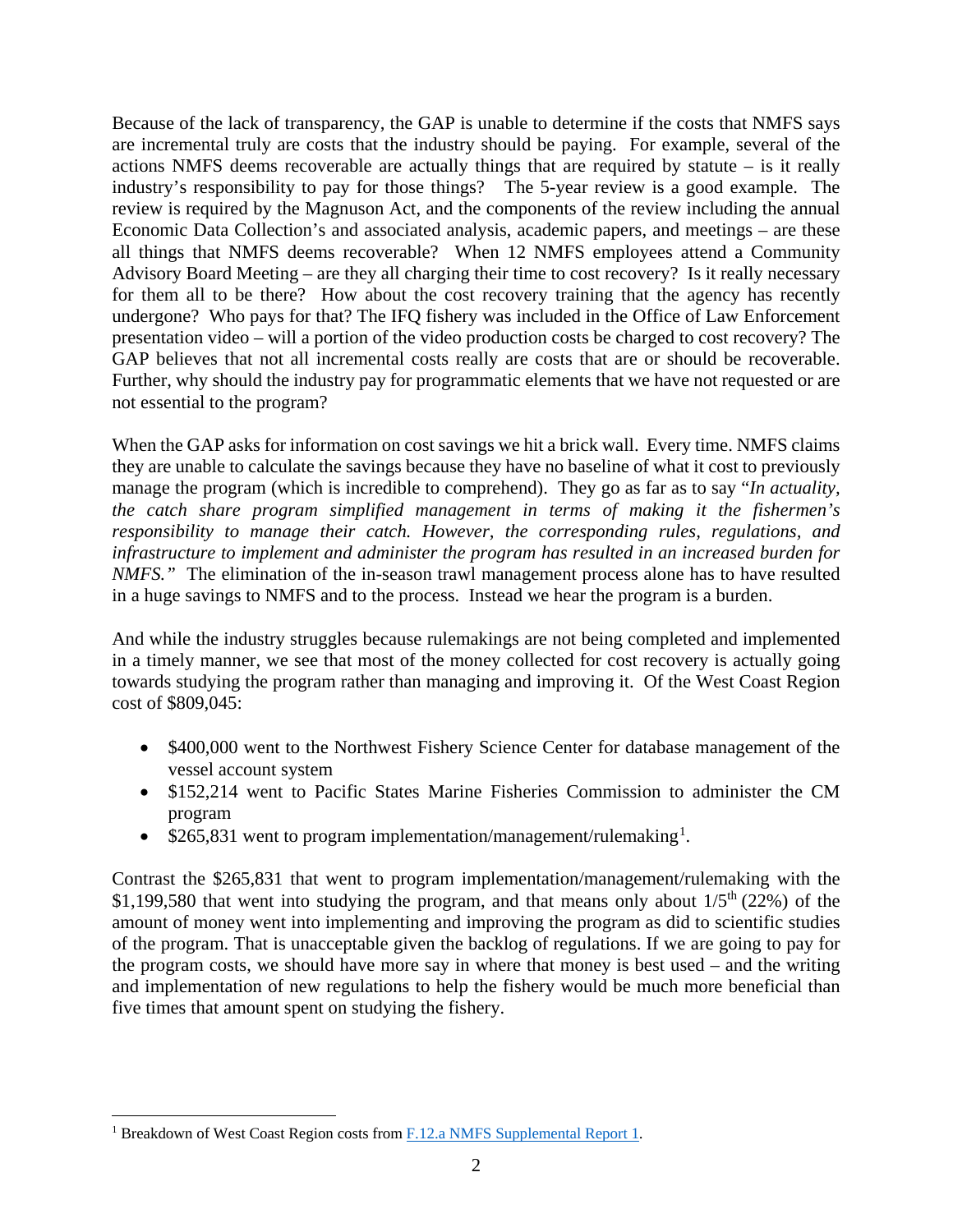Because of the lack of transparency, the GAP is unable to determine if the costs that NMFS says are incremental truly are costs that the industry should be paying. For example, several of the actions NMFS deems recoverable are actually things that are required by statute – is it really industry's responsibility to pay for those things? The 5-year review is a good example. The review is required by the Magnuson Act, and the components of the review including the annual Economic Data Collection's and associated analysis, academic papers, and meetings – are these all things that NMFS deems recoverable? When 12 NMFS employees attend a Community Advisory Board Meeting – are they all charging their time to cost recovery? Is it really necessary for them all to be there? How about the cost recovery training that the agency has recently undergone? Who pays for that? The IFQ fishery was included in the Office of Law Enforcement presentation video – will a portion of the video production costs be charged to cost recovery? The GAP believes that not all incremental costs really are costs that are or should be recoverable. Further, why should the industry pay for programmatic elements that we have not requested or are not essential to the program?

When the GAP asks for information on cost savings we hit a brick wall. Every time. NMFS claims they are unable to calculate the savings because they have no baseline of what it cost to previously manage the program (which is incredible to comprehend). They go as far as to say "*In actuality, the catch share program simplified management in terms of making it the fishermen's responsibility to manage their catch. However, the corresponding rules, regulations, and infrastructure to implement and administer the program has resulted in an increased burden for NMFS."* The elimination of the in-season trawl management process alone has to have resulted in a huge savings to NMFS and to the process. Instead we hear the program is a burden.

And while the industry struggles because rulemakings are not being completed and implemented in a timely manner, we see that most of the money collected for cost recovery is actually going towards studying the program rather than managing and improving it. Of the West Coast Region cost of \$809,045:

- \$400,000 went to the Northwest Fishery Science Center for database management of the vessel account system
- \$152,214 went to Pacific States Marine Fisheries Commission to administer the CM program
- \$265,83[1](#page-1-0) went to program implementation/management/rulemaking<sup>1</sup>.

Contrast the \$265,831 that went to program implementation/management/rulemaking with the \$1,199,580 that went into studying the program, and that means only about  $1/5<sup>th</sup>$  (22%) of the amount of money went into implementing and improving the program as did to scientific studies of the program. That is unacceptable given the backlog of regulations. If we are going to pay for the program costs, we should have more say in where that money is best used – and the writing and implementation of new regulations to help the fishery would be much more beneficial than five times that amount spent on studying the fishery.

<span id="page-1-0"></span><sup>&</sup>lt;sup>1</sup> Breakdown of West Coast Region costs from [F.12.a NMFS Supplemental Report 1.](https://www.pcouncil.org/wp-content/uploads/2017/11/F12a_Sup_NMFS_Rpt1_NOV2017BB.pdf)